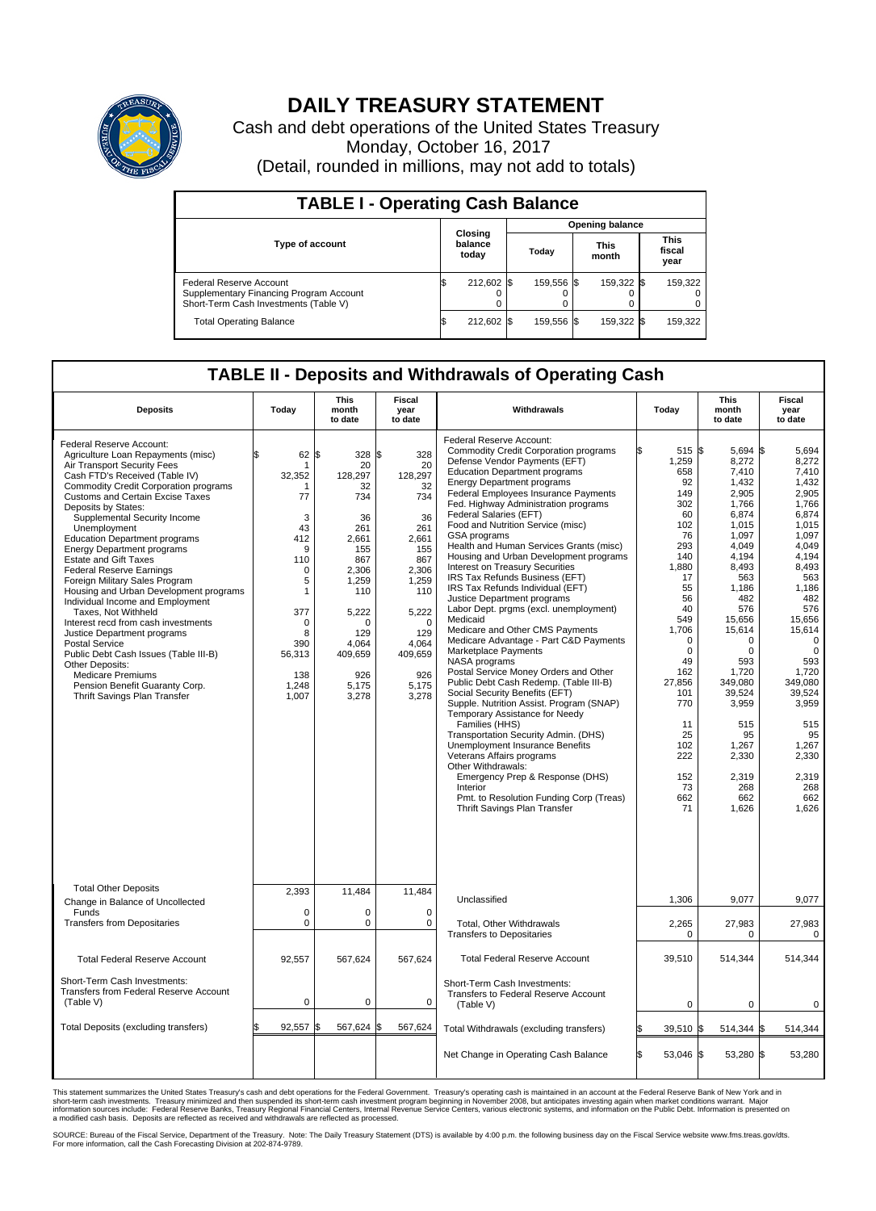

## **DAILY TREASURY STATEMENT**

Cash and debt operations of the United States Treasury Monday, October 16, 2017 (Detail, rounded in millions, may not add to totals)

| <b>TABLE I - Operating Cash Balance</b>                                                                     |  |                             |     |                        |  |                      |  |                               |  |
|-------------------------------------------------------------------------------------------------------------|--|-----------------------------|-----|------------------------|--|----------------------|--|-------------------------------|--|
|                                                                                                             |  | Closing<br>balance<br>today |     | <b>Opening balance</b> |  |                      |  |                               |  |
| <b>Type of account</b>                                                                                      |  |                             |     | Today                  |  | <b>This</b><br>month |  | <b>This</b><br>fiscal<br>year |  |
| Federal Reserve Account<br>Supplementary Financing Program Account<br>Short-Term Cash Investments (Table V) |  | 212,602                     | 1\$ | 159.556 \$             |  | 159.322 \$           |  | 159,322                       |  |
| <b>Total Operating Balance</b>                                                                              |  | 212,602 \$                  |     | 159,556 \$             |  | 159,322 \$           |  | 159,322                       |  |

## **TABLE II - Deposits and Withdrawals of Operating Cash**

| <b>Deposits</b>                                                                                                                                                                                                                                                                                                                                                                                                                                                                                                                                                                                                                                                                                                                                                                                                                            | Today                                                                                                                                                | <b>This</b><br>month<br>to date                                                                                                                                                   | <b>Fiscal</b><br>year<br>to date                                                                                                                                           | Withdrawals                                                                                                                                                                                                                                                                                                                                                                                                                                                                                                                                                                                                                                                                                                                                                                                                                                                                                                                                                                                                                                                                                                                                                                                                                                        | Today                                                                                                                                                                                                                                               | <b>This</b><br>month<br>to date                                                                                                                                                                                                                                                                       | <b>Fiscal</b><br>year<br>to date                                                                                                                                                                                                                                                                      |
|--------------------------------------------------------------------------------------------------------------------------------------------------------------------------------------------------------------------------------------------------------------------------------------------------------------------------------------------------------------------------------------------------------------------------------------------------------------------------------------------------------------------------------------------------------------------------------------------------------------------------------------------------------------------------------------------------------------------------------------------------------------------------------------------------------------------------------------------|------------------------------------------------------------------------------------------------------------------------------------------------------|-----------------------------------------------------------------------------------------------------------------------------------------------------------------------------------|----------------------------------------------------------------------------------------------------------------------------------------------------------------------------|----------------------------------------------------------------------------------------------------------------------------------------------------------------------------------------------------------------------------------------------------------------------------------------------------------------------------------------------------------------------------------------------------------------------------------------------------------------------------------------------------------------------------------------------------------------------------------------------------------------------------------------------------------------------------------------------------------------------------------------------------------------------------------------------------------------------------------------------------------------------------------------------------------------------------------------------------------------------------------------------------------------------------------------------------------------------------------------------------------------------------------------------------------------------------------------------------------------------------------------------------|-----------------------------------------------------------------------------------------------------------------------------------------------------------------------------------------------------------------------------------------------------|-------------------------------------------------------------------------------------------------------------------------------------------------------------------------------------------------------------------------------------------------------------------------------------------------------|-------------------------------------------------------------------------------------------------------------------------------------------------------------------------------------------------------------------------------------------------------------------------------------------------------|
| Federal Reserve Account:<br>Agriculture Loan Repayments (misc)<br>Air Transport Security Fees<br>Cash FTD's Received (Table IV)<br><b>Commodity Credit Corporation programs</b><br><b>Customs and Certain Excise Taxes</b><br>Deposits by States:<br>Supplemental Security Income<br>Unemployment<br><b>Education Department programs</b><br><b>Energy Department programs</b><br><b>Estate and Gift Taxes</b><br><b>Federal Reserve Earnings</b><br>Foreign Military Sales Program<br>Housing and Urban Development programs<br>Individual Income and Employment<br>Taxes, Not Withheld<br>Interest recd from cash investments<br>Justice Department programs<br>Postal Service<br>Public Debt Cash Issues (Table III-B)<br>Other Deposits:<br><b>Medicare Premiums</b><br>Pension Benefit Guaranty Corp.<br>Thrift Savings Plan Transfer | 62<br>\$<br>32,352<br>77<br>3<br>43<br>412<br>9<br>110<br>$\mathbf 0$<br>5<br>1<br>377<br>$\mathbf 0$<br>8<br>390<br>56,313<br>138<br>1,248<br>1,007 | 1\$<br>328 \$<br>20<br>128,297<br>32<br>734<br>36<br>261<br>2.661<br>155<br>867<br>2.306<br>1,259<br>110<br>5,222<br>$\Omega$<br>129<br>4.064<br>409,659<br>926<br>5,175<br>3,278 | 328<br>20<br>128,297<br>32<br>734<br>36<br>261<br>2,661<br>155<br>867<br>2,306<br>1,259<br>110<br>5,222<br>$\mathbf 0$<br>129<br>4.064<br>409,659<br>926<br>5,175<br>3,278 | Federal Reserve Account:<br>Commodity Credit Corporation programs<br>Defense Vendor Payments (EFT)<br><b>Education Department programs</b><br><b>Energy Department programs</b><br>Federal Employees Insurance Payments<br>Fed. Highway Administration programs<br>Federal Salaries (EFT)<br>Food and Nutrition Service (misc)<br><b>GSA</b> programs<br>Health and Human Services Grants (misc)<br>Housing and Urban Development programs<br><b>Interest on Treasury Securities</b><br>IRS Tax Refunds Business (EFT)<br>IRS Tax Refunds Individual (EFT)<br>Justice Department programs<br>Labor Dept. prgms (excl. unemployment)<br>Medicaid<br>Medicare and Other CMS Payments<br>Medicare Advantage - Part C&D Payments<br>Marketplace Payments<br>NASA programs<br>Postal Service Money Orders and Other<br>Public Debt Cash Redemp. (Table III-B)<br>Social Security Benefits (EFT)<br>Supple. Nutrition Assist. Program (SNAP)<br>Temporary Assistance for Needy<br>Families (HHS)<br>Transportation Security Admin. (DHS)<br>Unemployment Insurance Benefits<br>Veterans Affairs programs<br>Other Withdrawals:<br>Emergency Prep & Response (DHS)<br>Interior<br>Pmt. to Resolution Funding Corp (Treas)<br>Thrift Savings Plan Transfer | 515 \$<br>1,259<br>658<br>92<br>149<br>302<br>60<br>102<br>76<br>293<br>140<br>1,880<br>17<br>55<br>56<br>40<br>549<br>1,706<br>$\mathbf 0$<br>$\mathbf 0$<br>49<br>162<br>27,856<br>101<br>770<br>11<br>25<br>102<br>222<br>152<br>73<br>662<br>71 | 5,694 \$<br>8,272<br>7,410<br>1,432<br>2,905<br>1,766<br>6,874<br>1,015<br>1,097<br>4.049<br>4.194<br>8,493<br>563<br>1,186<br>482<br>576<br>15,656<br>15,614<br>$\Omega$<br>$\mathbf 0$<br>593<br>1,720<br>349,080<br>39,524<br>3,959<br>515<br>95<br>1,267<br>2,330<br>2,319<br>268<br>662<br>1,626 | 5.694<br>8,272<br>7,410<br>1,432<br>2.905<br>1.766<br>6,874<br>1,015<br>1,097<br>4,049<br>4.194<br>8,493<br>563<br>1,186<br>482<br>576<br>15,656<br>15,614<br>$\mathbf 0$<br>$\mathbf 0$<br>593<br>1,720<br>349,080<br>39,524<br>3,959<br>515<br>95<br>1,267<br>2,330<br>2,319<br>268<br>662<br>1.626 |
| <b>Total Other Deposits</b><br>Change in Balance of Uncollected                                                                                                                                                                                                                                                                                                                                                                                                                                                                                                                                                                                                                                                                                                                                                                            | 2,393                                                                                                                                                | 11,484                                                                                                                                                                            | 11,484                                                                                                                                                                     | Unclassified                                                                                                                                                                                                                                                                                                                                                                                                                                                                                                                                                                                                                                                                                                                                                                                                                                                                                                                                                                                                                                                                                                                                                                                                                                       | 1,306                                                                                                                                                                                                                                               | 9,077                                                                                                                                                                                                                                                                                                 | 9,077                                                                                                                                                                                                                                                                                                 |
| Funds<br><b>Transfers from Depositaries</b>                                                                                                                                                                                                                                                                                                                                                                                                                                                                                                                                                                                                                                                                                                                                                                                                | $\mathbf 0$<br>$\mathbf 0$                                                                                                                           | 0<br>0                                                                                                                                                                            | $\mathbf 0$<br>$\mathbf 0$                                                                                                                                                 | Total, Other Withdrawals<br><b>Transfers to Depositaries</b>                                                                                                                                                                                                                                                                                                                                                                                                                                                                                                                                                                                                                                                                                                                                                                                                                                                                                                                                                                                                                                                                                                                                                                                       | 2,265<br>$\mathbf 0$                                                                                                                                                                                                                                | 27,983<br>0                                                                                                                                                                                                                                                                                           | 27,983<br>$\pmb{0}$                                                                                                                                                                                                                                                                                   |
| <b>Total Federal Reserve Account</b>                                                                                                                                                                                                                                                                                                                                                                                                                                                                                                                                                                                                                                                                                                                                                                                                       | 92,557                                                                                                                                               | 567,624                                                                                                                                                                           | 567,624                                                                                                                                                                    | <b>Total Federal Reserve Account</b>                                                                                                                                                                                                                                                                                                                                                                                                                                                                                                                                                                                                                                                                                                                                                                                                                                                                                                                                                                                                                                                                                                                                                                                                               | 39,510                                                                                                                                                                                                                                              | 514,344                                                                                                                                                                                                                                                                                               | 514,344                                                                                                                                                                                                                                                                                               |
| Short-Term Cash Investments:<br>Transfers from Federal Reserve Account<br>(Table V)                                                                                                                                                                                                                                                                                                                                                                                                                                                                                                                                                                                                                                                                                                                                                        | 0                                                                                                                                                    | 0                                                                                                                                                                                 | 0                                                                                                                                                                          | Short-Term Cash Investments:<br>Transfers to Federal Reserve Account<br>(Table V)                                                                                                                                                                                                                                                                                                                                                                                                                                                                                                                                                                                                                                                                                                                                                                                                                                                                                                                                                                                                                                                                                                                                                                  | 0                                                                                                                                                                                                                                                   | $\mathbf 0$                                                                                                                                                                                                                                                                                           | 0                                                                                                                                                                                                                                                                                                     |
| Total Deposits (excluding transfers)                                                                                                                                                                                                                                                                                                                                                                                                                                                                                                                                                                                                                                                                                                                                                                                                       | 92,557                                                                                                                                               | 567,624<br>\$                                                                                                                                                                     | \$<br>567,624                                                                                                                                                              | Total Withdrawals (excluding transfers)                                                                                                                                                                                                                                                                                                                                                                                                                                                                                                                                                                                                                                                                                                                                                                                                                                                                                                                                                                                                                                                                                                                                                                                                            | $39,510$ \$                                                                                                                                                                                                                                         | 514,344                                                                                                                                                                                                                                                                                               | 514,344<br>\$                                                                                                                                                                                                                                                                                         |
|                                                                                                                                                                                                                                                                                                                                                                                                                                                                                                                                                                                                                                                                                                                                                                                                                                            |                                                                                                                                                      |                                                                                                                                                                                   |                                                                                                                                                                            | Net Change in Operating Cash Balance                                                                                                                                                                                                                                                                                                                                                                                                                                                                                                                                                                                                                                                                                                                                                                                                                                                                                                                                                                                                                                                                                                                                                                                                               | l\$<br>53,046 \$                                                                                                                                                                                                                                    | 53,280 \$                                                                                                                                                                                                                                                                                             | 53,280                                                                                                                                                                                                                                                                                                |

This statement summarizes the United States Treasury's cash and debt operations for the Federal Government. Treasury's operating cash is maintained in an account at the Federal Reserve Bank of New York and in<br>short-term ca

SOURCE: Bureau of the Fiscal Service, Department of the Treasury. Note: The Daily Treasury Statement (DTS) is available by 4:00 p.m. the following business day on the Fiscal Service website www.fms.treas.gov/dts.<br>For more